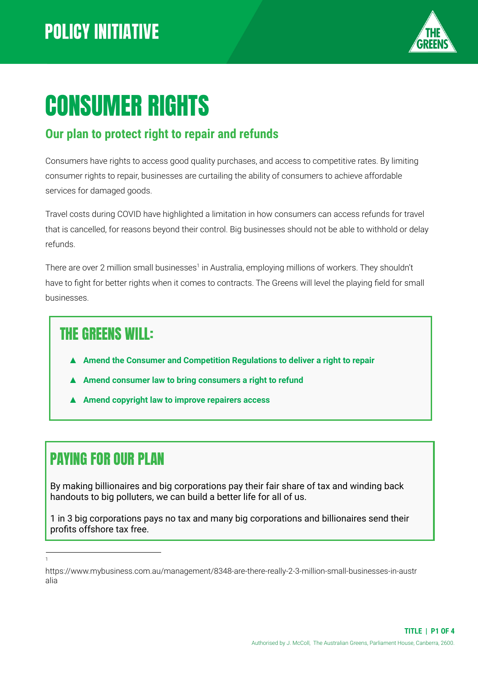

# CONSUMER RIGHTS

#### **Our plan to protect right to repair and refunds**

Consumers have rights to access good quality purchases, and access to competitive rates. By limiting consumer rights to repair, businesses are curtailing the ability of consumers to achieve affordable services for damaged goods.

Travel costs during COVID have highlighted a limitation in how consumers can access refunds for travel that is cancelled, for reasons beyond their control. Big businesses should not be able to withhold or delay refunds.

There are over 2 million small businesses<sup>1</sup> in Australia, employing millions of workers. They shouldn't have to fight for better rights when it comes to contracts. The Greens will level the playing field for small businesses.

#### THE GREENS WILL:

- ▲ **Amend the Consumer and Competition Regulations to deliver a right to repair**
- **▲ Amend consumer law to bring consumers a right to refund**
- **▲ Amend copyright law to improve repairers access**

### PAYING FOR OUR PLAN

By making billionaires and big corporations pay their fair share of tax and winding back handouts to big polluters, we can build a better life for all of us.

1 in 3 big corporations pays no tax and many big corporations and billionaires send their profits offshore tax free.

1

https://www.mybusiness.com.au/management/8348-are-there-really-2-3-million-small-businesses-in-austr alia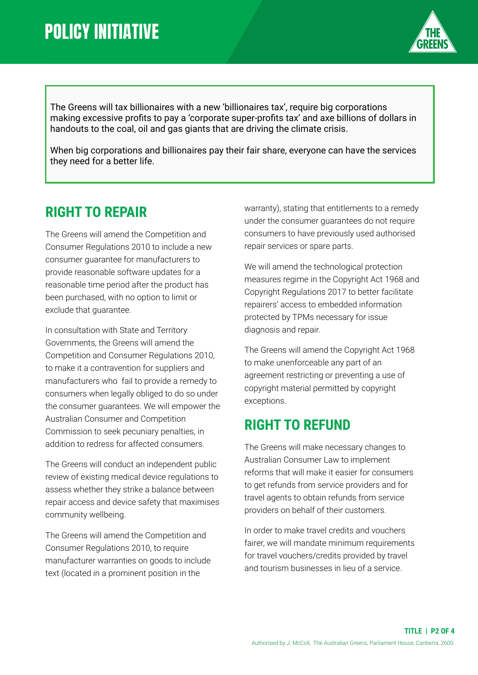

The Greens will tax billionaires with a new 'billionaires tax', require big corporations making excessive profits to pay a 'corporate super-profits tax' and axe billions of dollars in handouts to the coal, oil and gas giants that are driving the climate crisis.

When big corporations and billionaires pay their fair share, everyone can have the services they need for a better life.

#### **RIGHT TO REPAIR**

The Greens will amend the Competition and Consumer Regulations 2010 to include a new consumer guarantee for manufacturers to provide reasonable software updates for a reasonable time period after the product has been purchased, with no option to limit or exclude that guarantee.

In consultation with State and Territory Governments, the Greens will amend the Competition and Consumer Regulations 2010, to make it a contravention for suppliers and manufacturers who fail to provide a remedy to consumers when legally obliged to do so under the consumer guarantees. We will empower the Australian Consumer and Competition Commission to seek pecuniary penalties, in addition to redress for affected consumers.

The Greens will conduct an independent public review of existing medical device regulations to assess whether they strike a balance between repair access and device safety that maximises community wellbeing.

The Greens will amend the Competition and Consumer Regulations 2010, to require manufacturer warranties on goods to include text (located in a prominent position in the

warranty), stating that entitlements to a remedy under the consumer guarantees do not require consumers to have previously used authorised repair services or spare parts.

We will amend the technological protection measures regime in the Copyright Act 1968 and Copyright Regulations 2017 to better facilitate repairers' access to embedded information protected by TPMs necessary for issue diagnosis and repair.

The Greens will amend the Copyright Act 1968 to make unenforceable any part of an agreement restricting or preventing a use of copyright material permitted by copyright exceptions.

#### **RIGHT TO REFUND**

The Greens will make necessary changes to Australian Consumer Law to implement reforms that will make it easier for consumers to get refunds from service providers and for travel agents to obtain refunds from service providers on behalf of their customers.

In order to make travel credits and vouchers fairer, we will mandate minimum requirements for travel vouchers/credits provided by travel and tourism businesses in lieu of a service.